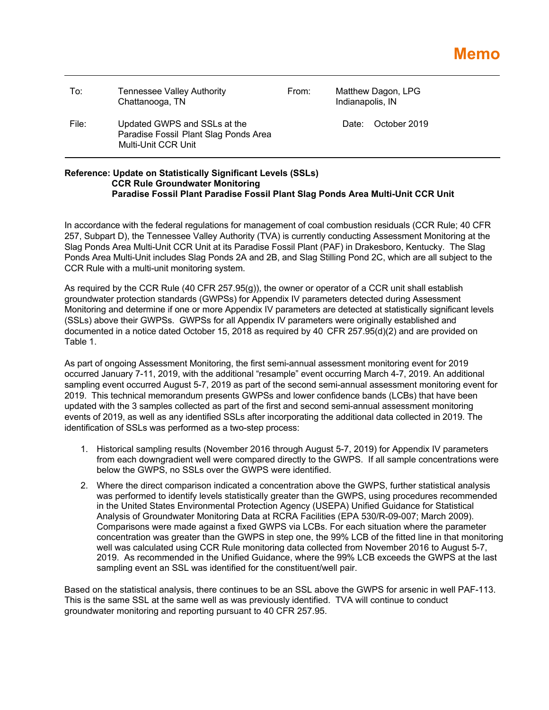| To:   | <b>Tennessee Valley Authority</b><br>Chattanooga, TN                                         | From: | Matthew Dagon, LPG<br>Indianapolis, IN |  |
|-------|----------------------------------------------------------------------------------------------|-------|----------------------------------------|--|
| File: | Updated GWPS and SSLs at the<br>Paradise Fossil Plant Slag Ponds Area<br>Multi-Unit CCR Unit |       | Date: October 2019                     |  |

## **Reference: Update on Statistically Significant Levels (SSLs) CCR Rule Groundwater Monitoring Paradise Fossil Plant Paradise Fossil Plant Slag Ponds Area Multi-Unit CCR Unit**

In accordance with the federal regulations for management of coal combustion residuals (CCR Rule; 40 CFR 257, Subpart D), the Tennessee Valley Authority (TVA) is currently conducting Assessment Monitoring at the Slag Ponds Area Multi-Unit CCR Unit at its Paradise Fossil Plant (PAF) in Drakesboro, Kentucky. The Slag Ponds Area Multi-Unit includes Slag Ponds 2A and 2B, and Slag Stilling Pond 2C, which are all subject to the CCR Rule with a multi-unit monitoring system.

As required by the CCR Rule (40 CFR 257.95(g)), the owner or operator of a CCR unit shall establish groundwater protection standards (GWPSs) for Appendix IV parameters detected during Assessment Monitoring and determine if one or more Appendix IV parameters are detected at statistically significant levels (SSLs) above their GWPSs. GWPSs for all Appendix IV parameters were originally established and documented in a notice dated October 15, 2018 as required by 40 CFR 257.95(d)(2) and are provided on Table 1.

As part of ongoing Assessment Monitoring, the first semi-annual assessment monitoring event for 2019 occurred January 7-11, 2019, with the additional "resample" event occurring March 4-7, 2019. An additional sampling event occurred August 5-7, 2019 as part of the second semi-annual assessment monitoring event for 2019. This technical memorandum presents GWPSs and lower confidence bands (LCBs) that have been updated with the 3 samples collected as part of the first and second semi-annual assessment monitoring events of 2019, as well as any identified SSLs after incorporating the additional data collected in 2019. The identification of SSLs was performed as a two-step process:

- 1. Historical sampling results (November 2016 through August 5-7, 2019) for Appendix IV parameters from each downgradient well were compared directly to the GWPS. If all sample concentrations were below the GWPS, no SSLs over the GWPS were identified.
- 2. Where the direct comparison indicated a concentration above the GWPS, further statistical analysis was performed to identify levels statistically greater than the GWPS, using procedures recommended in the United States Environmental Protection Agency (USEPA) Unified Guidance for Statistical Analysis of Groundwater Monitoring Data at RCRA Facilities (EPA 530/R-09-007; March 2009). Comparisons were made against a fixed GWPS via LCBs. For each situation where the parameter concentration was greater than the GWPS in step one, the 99% LCB of the fitted line in that monitoring well was calculated using CCR Rule monitoring data collected from November 2016 to August 5-7, 2019. As recommended in the Unified Guidance, where the 99% LCB exceeds the GWPS at the last sampling event an SSL was identified for the constituent/well pair.

Based on the statistical analysis, there continues to be an SSL above the GWPS for arsenic in well PAF-113. This is the same SSL at the same well as was previously identified. TVA will continue to conduct groundwater monitoring and reporting pursuant to 40 CFR 257.95.